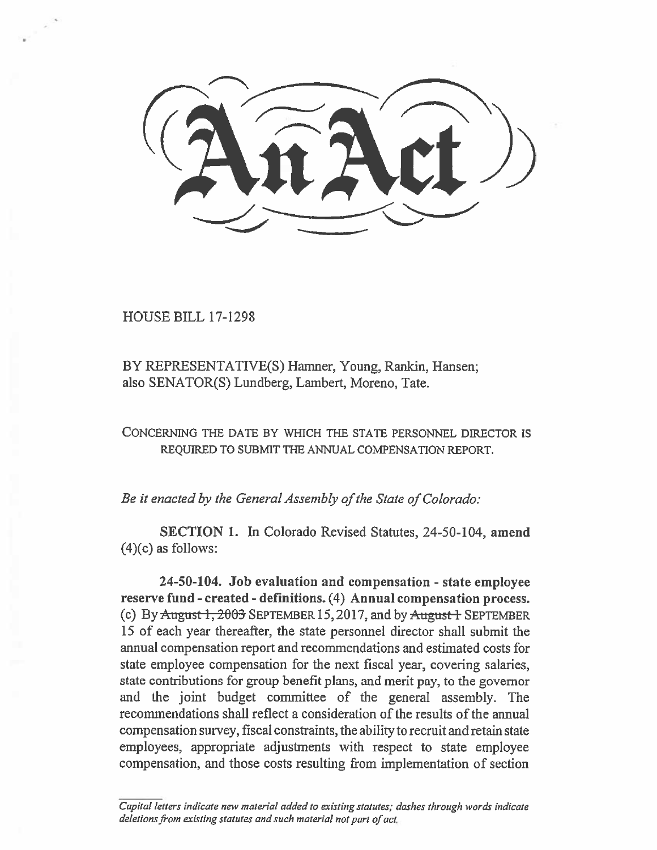HOUSE BILL 17-1298

BY REPRESENTATIVE(S) Hamner, Young, Rankin, Hansen; also SENATOR(S) Lundberg, Lambert, Moreno, Tate.

CONCERNING THE DATE BY WHICH THE STATE PERSONNEL DIRECTOR IS REQUIRED TO SUBMIT THE ANNUAL COMPENSATION REPORT.

*Be it enacted by the General Assembly of the State of Colorado:* 

**SECTION 1.** In Colorado Revised Statutes, 24-50-104, **amend**   $(4)(c)$  as follows:

**24-50-104. Job evaluation and compensation - state employee reserve fund - created - definitions.** (4) **Annual compensation process.**  (c) By  $\triangle$ ugust 1, 2003 SEPTEMBER 15, 2017, and by  $\triangle$ ugust 1 SEPTEMBER 15 of each year thereafter, the state personnel director shall submit the annual compensation report and recommendations and estimated costs for state employee compensation for the next fiscal year, covering salaries, state contributions for group benefit plans, and merit pay, to the governor **and** the joint budget committee of the general assembly. The recommendations shall reflect a consideration of the results **of** the annual compensation survey, fiscal constraints, the ability to recruit and retain state employees, appropriate adjustments with respect to state employee compensation, and those costs resulting from implementation of section

*Capital letters indicate new material added to existing statutes; dashes through words indicate deletions from existing statutes and such material not part of act.*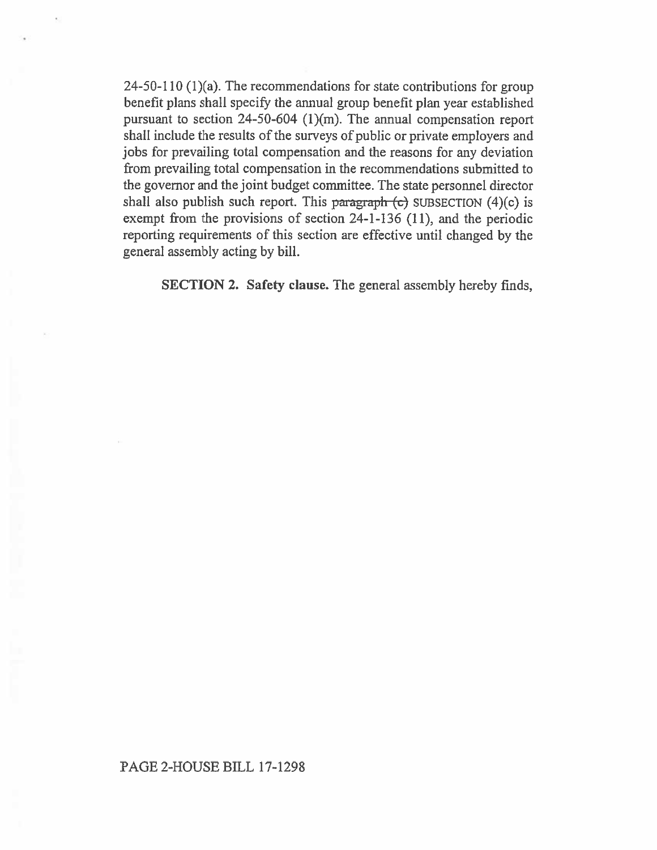24-50-110 (1)(a). The recommendations for state contributions for group benefit plans shall specify the amnial group benefit plan year established pursuant to section 24-50-604 (1)(m). The annual compensation report shall include the results of the surveys of public or private employers and jobs for prevailing total compensation and the reasons for any deviation from prevailing total compensation in the recommendations submitted to the governor and the joint budget committee. The state personnel director shall also publish such report. This paragraph  $(c)$  SUBSECTION  $(4)(c)$  is exempt from the provisions of section 24-1-136 (11), and the periodic reporting requirements of this section are effective until changed by the general assembly acting by bill.

SECTION 2. Safety clause. The general assembly hereby finds,

## PAGE 2-HOUSE BILL 17-1298